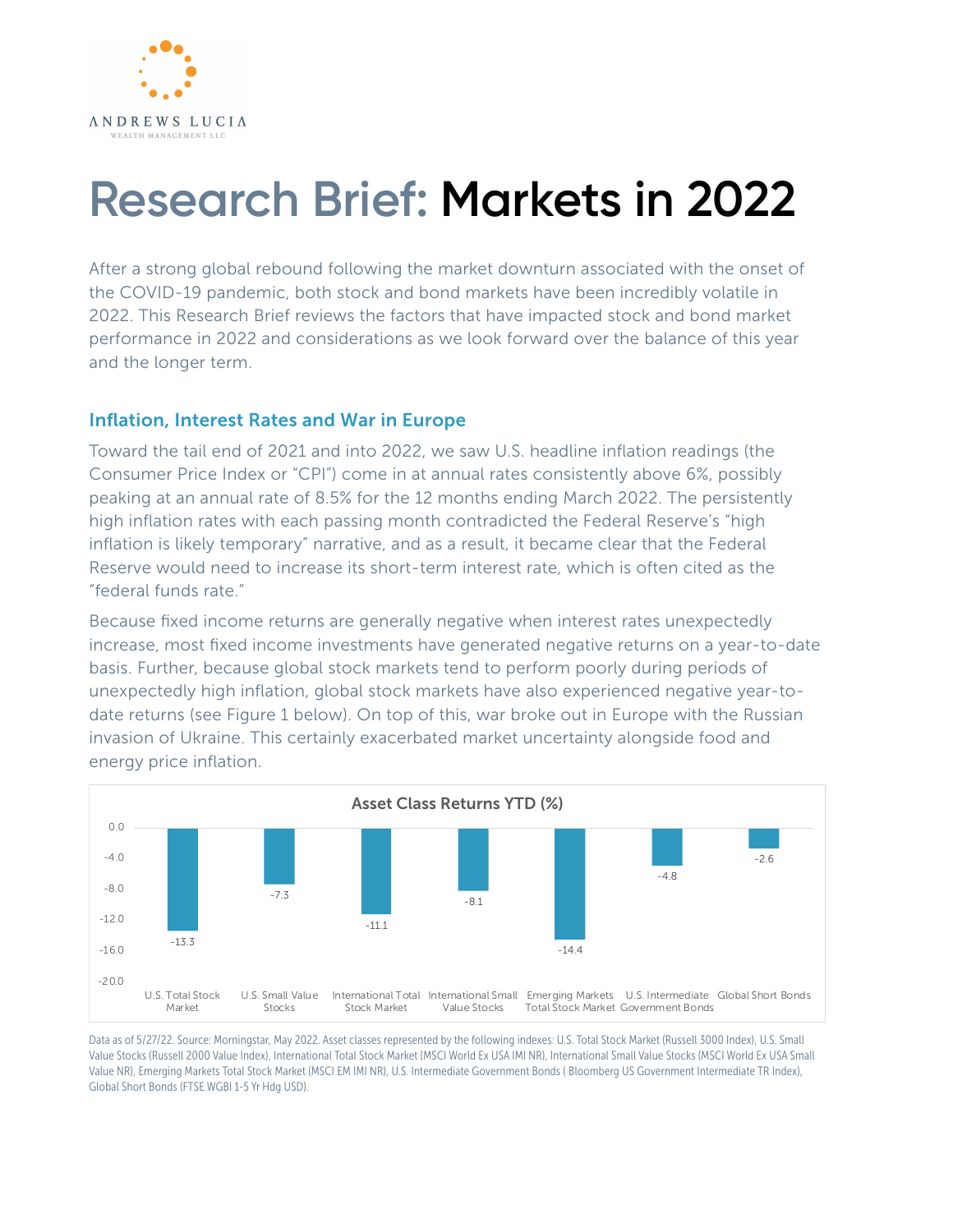

## **Research Brief: Markets in 2022**

After a strong global rebound following the market downturn associated with the onset of the COVID-19 pandemic, both stock and bond markets have been incredibly volatile in 2022. This Research Brief reviews the factors that have impacted stock and bond market performance in 2022 and considerations as we look forward over the balance of this year and the longer term.

## Inflation, Interest Rates and War in Europe

Toward the tail end of 2021 and into 2022, we saw U.S. headline inflation readings (the Consumer Price Index or "CPI") come in at annual rates consistently above 6%, possibly peaking at an annual rate of 8.5% for the 12 months ending March 2022. The persistently high inflation rates with each passing month contradicted the Federal Reserve's "high inflation is likely temporary" narrative, and as a result, it became clear that the Federal Reserve would need to increase its short-term interest rate, which is often cited as the "federal funds rate."

Because fixed income returns are generally negative when interest rates unexpectedly increase, most fixed income investments have generated negative returns on a year-to-date basis. Further, because global stock markets tend to perform poorly during periods of unexpectedly high inflation, global stock markets have also experienced negative year-todate returns (see Figure 1 below). On top of this, war broke out in Europe with the Russian invasion of Ukraine. This certainly exacerbated market uncertainty alongside food and energy price inflation.



Data as of 5/27/22. Source: Morningstar, May 2022. Asset classes represented by the following indexes: U.S. Total Stock Market (Russell 3000 Index), U.S. Small Value Stocks (Russell 2000 Value Index), International Total Stock Market (MSCI World Ex USA IMI NR), International Small Value Stocks (MSCI World Ex USA Small Value NR), Emerging Markets Total Stock Market (MSCI EM IMI NR), U.S. Intermediate Government Bonds ( Bloomberg US Government Intermediate TR Index), Global Short Bonds (FTSE WGBI 1-5 Yr Hdg USD).